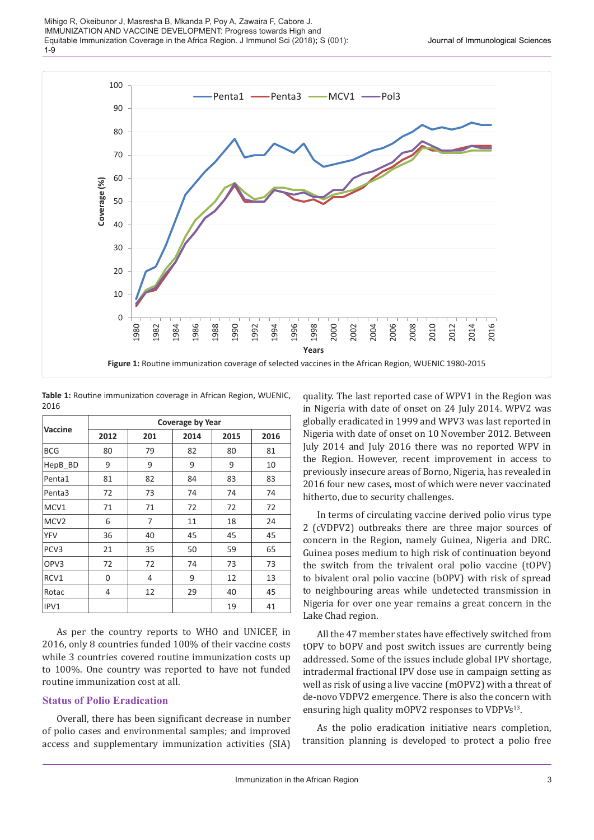

**Table 1:** Routine immunization coverage in African Region, WUENIC, 2016

|                  | Coverage by Year |     |      |      |      |  |  |
|------------------|------------------|-----|------|------|------|--|--|
| <b>Vaccine</b>   | 2012             | 201 | 2014 | 2015 | 2016 |  |  |
| <b>BCG</b>       | 80               | 79  | 82   | 80   | 81   |  |  |
| HepB_BD          | 9                | 9   | 9    | 9    | 10   |  |  |
| Penta1           | 81               | 82  | 84   | 83   | 83   |  |  |
| Penta3           | 72               | 73  | 74   | 74   | 74   |  |  |
| MCV1             | 71               | 71  | 72   | 72   | 72   |  |  |
| MCV <sub>2</sub> | 6                | 7   | 11   | 18   | 24   |  |  |
| <b>YFV</b>       | 36               | 40  | 45   | 45   | 45   |  |  |
| PCV <sub>3</sub> | 21               | 35  | 50   | 59   | 65   |  |  |
| OPV3             | 72               | 72  | 74   | 73   | 73   |  |  |
| RCV1             | 0                | 4   | 9    | 12   | 13   |  |  |
| Rotac            | 4                | 12  | 29   | 40   | 45   |  |  |
| IPV1             |                  |     |      | 19   | 41   |  |  |

As per the country reports to WHO and UNICEF, in 2016, only 8 countries funded 100% of their vaccine costs while 3 countries covered routine immunization costs up to 100%. One country was reported to have not funded routine immunization cost at all.

### **Status of Polio Eradication**

Overall, there has been significant decrease in number of polio cases and environmental samples; and improved access and supplementary immunization activities (SIA)

quality. The last reported case of WPV1 in the Region was in Nigeria with date of onset on 24 July 2014. WPV2 was globally eradicated in 1999 and WPV3 was last reported in Nigeria with date of onset on 10 November 2012. Between July 2014 and July 2016 there was no reported WPV in the Region. However, recent improvement in access to previously insecure areas of Borno, Nigeria, has revealed in 2016 four new cases, most of which were never vaccinated hitherto, due to security challenges.

In terms of circulating vaccine derived polio virus type 2 (cVDPV2) outbreaks there are three major sources of concern in the Region, namely Guinea, Nigeria and DRC. Guinea poses medium to high risk of continuation beyond the switch from the trivalent oral polio vaccine (tOPV) to bivalent oral polio vaccine (bOPV) with risk of spread to neighbouring areas while undetected transmission in Nigeria for over one year remains a great concern in the Lake Chad region.

All the 47 member states have effectively switched from tOPV to bOPV and post switch issues are currently being addressed. Some of the issues include global IPV shortage, intradermal fractional IPV dose use in campaign setting as well as risk of using a live vaccine (mOPV2) with a threat of de-novo VDPV2 emergence. There is also the concern with ensuring high quality mOPV2 responses to VDPVs<sup>13</sup>.

As the polio eradication initiative nears completion, transition planning is developed to protect a polio free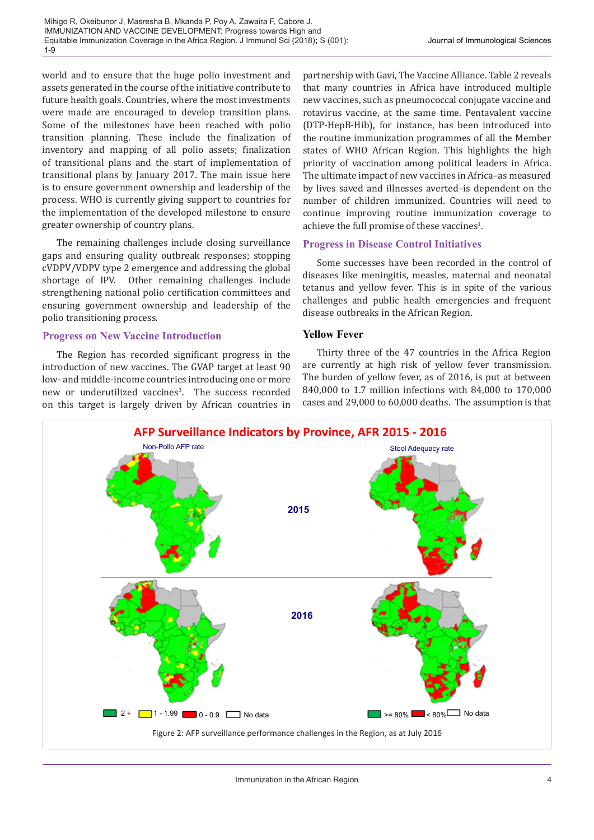world and to ensure that the huge polio investment and assets generated in the course of the initiative contribute to future health goals. Countries, where the most investments were made are encouraged to develop transition plans. Some of the milestones have been reached with polio transition planning. These include the finalization of inventory and mapping of all polio assets; finalization of transitional plans and the start of implementation of transitional plans by January 2017. The main issue here is to ensure government ownership and leadership of the process. WHO is currently giving support to countries for the implementation of the developed milestone to ensure greater ownership of country plans.

The remaining challenges include closing surveillance gaps and ensuring quality outbreak responses; stopping cVDPV/VDPV type 2 emergence and addressing the global shortage of IPV. Other remaining challenges include strengthening national polio certification committees and ensuring government ownership and leadership of the polio transitioning process.

### **Progress on New Vaccine Introduction**

The Region has recorded significant progress in the introduction of new vaccines. The GVAP target at least 90 low- and middle-income countries introducing one or more new or underutilized vaccines<sup>3</sup>. The success recorded on this target is largely driven by African countries in

partnership with Gavi, The Vaccine Alliance. Table 2 reveals that many countries in Africa have introduced multiple new vaccines, such as pneumococcal conjugate vaccine and rotavirus vaccine, at the same time. Pentavalent vaccine (DTP-HepB-Hib), for instance, has been introduced into the routine immunization programmes of all the Member states of WHO African Region. This highlights the high priority of vaccination among political leaders in Africa. The ultimate impact of new vaccines in Africa–as measured by lives saved and illnesses averted–is dependent on the number of children immunized. Countries will need to continue improving routine immunization coverage to achieve the full promise of these vaccines $^1$ .

# **Progress in Disease Control Initiatives**

Some successes have been recorded in the control of diseases like meningitis, measles, maternal and neonatal tetanus and yellow fever. This is in spite of the various challenges and public health emergencies and frequent disease outbreaks in the African Region.

## **Yellow Fever**

Thirty three of the 47 countries in the Africa Region are currently at high risk of yellow fever transmission. The burden of yellow fever, as of 2016, is put at between 840,000 to 1.7 million infections with 84,000 to 170,000 cases and 29,000 to 60,000 deaths. The assumption is that

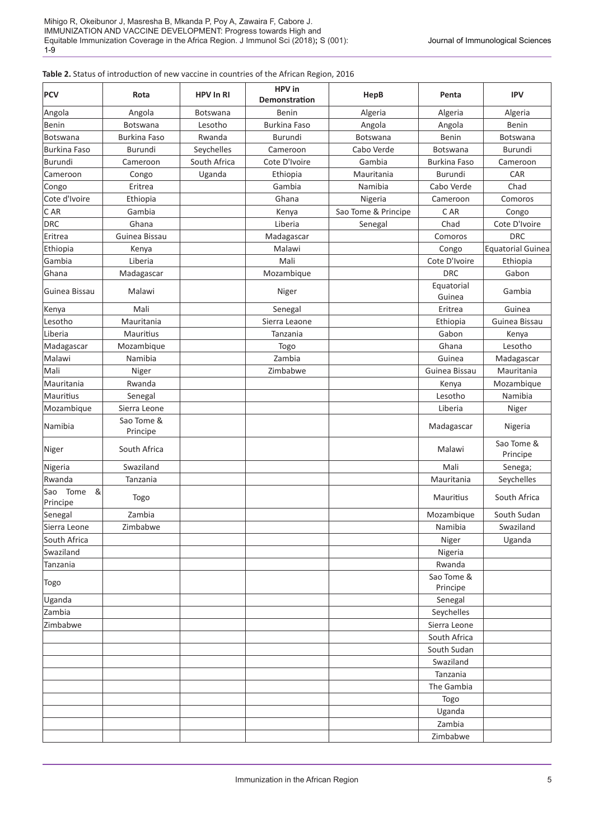#### **Table 2.** Status of introduction of new vaccine in countries of the African Region, 2016

| <b>PCV</b>                   | Rota                   | <b>HPV In RI</b> | HPV in<br>Demonstration | HepB                | Penta                  | <b>IPV</b>               |
|------------------------------|------------------------|------------------|-------------------------|---------------------|------------------------|--------------------------|
| Angola                       | Angola                 | <b>Botswana</b>  | Benin                   | Algeria             | Algeria                | Algeria                  |
| Benin                        | Botswana               | Lesotho          | <b>Burkina Faso</b>     | Angola              | Angola                 | Benin                    |
| <b>Botswana</b>              | <b>Burkina Faso</b>    | Rwanda           | Burundi                 | Botswana            | Benin                  | Botswana                 |
| <b>Burkina Faso</b>          | <b>Burundi</b>         | Seychelles       | Cameroon                | Cabo Verde          | Botswana               | Burundi                  |
| Burundi                      | Cameroon               | South Africa     | Cote D'Ivoire           | Gambia              | <b>Burkina Faso</b>    | Cameroon                 |
| Cameroon                     | Congo                  | Uganda           | Ethiopia                | Mauritania          | Burundi                | CAR                      |
| Congo                        | Eritrea                |                  | Gambia                  | Namibia             | Cabo Verde             | Chad                     |
| Cote d'Ivoire                | Ethiopia               |                  | Ghana                   | Nigeria             | Cameroon               | Comoros                  |
| C AR                         | Gambia                 |                  | Kenya                   | Sao Tome & Principe | C AR                   | Congo                    |
| <b>DRC</b>                   | Ghana                  |                  | Liberia                 | Senegal             | Chad                   | Cote D'Ivoire            |
| Eritrea                      | Guinea Bissau          |                  | Madagascar              |                     | Comoros                | <b>DRC</b>               |
| Ethiopia                     | Kenya                  |                  | Malawi                  |                     | Congo                  | <b>Equatorial Guinea</b> |
| Gambia                       | Liberia                |                  | Mali                    |                     | Cote D'Ivoire          | Ethiopia                 |
| Ghana                        | Madagascar             |                  | Mozambique              |                     | <b>DRC</b>             | Gabon                    |
| Guinea Bissau                | Malawi                 |                  | Niger                   |                     | Equatorial<br>Guinea   | Gambia                   |
| Kenya                        | Mali                   |                  | Senegal                 |                     | Eritrea                | Guinea                   |
| Lesotho                      | Mauritania             |                  | Sierra Leaone           |                     | Ethiopia               | Guinea Bissau            |
| Liberia                      | Mauritius              |                  | Tanzania                |                     | Gabon                  | Kenya                    |
| Madagascar                   | Mozambique             |                  | Togo                    |                     | Ghana                  | Lesotho                  |
| Malawi                       | Namibia                |                  | Zambia                  |                     | Guinea                 | Madagascar               |
| Mali                         | Niger                  |                  | Zimbabwe                |                     | Guinea Bissau          | Mauritania               |
| Mauritania                   | Rwanda                 |                  |                         |                     | Kenya                  | Mozambique               |
| Mauritius                    | Senegal                |                  |                         |                     | Lesotho                | Namibia                  |
| Mozambique                   | Sierra Leone           |                  |                         |                     | Liberia                | Niger                    |
| Namibia                      | Sao Tome &<br>Principe |                  |                         |                     | Madagascar             | Nigeria                  |
| Niger                        | South Africa           |                  |                         |                     | Malawi                 | Sao Tome &<br>Principe   |
| Nigeria                      | Swaziland              |                  |                         |                     | Mali                   | Senega;                  |
| Rwanda                       | Tanzania               |                  |                         |                     | Mauritania             | Seychelles               |
| Tome<br>&<br>Sao<br>Principe | Togo                   |                  |                         |                     | Mauritius              | South Africa             |
| Senegal                      | Zambia                 |                  |                         |                     | Mozambique             | South Sudan              |
| Sierra Leone                 | Zimbabwe               |                  |                         |                     | Namibia                | Swaziland                |
| South Africa                 |                        |                  |                         |                     | Niger                  | Uganda                   |
| Swaziland                    |                        |                  |                         |                     | Nigeria                |                          |
| Tanzania                     |                        |                  |                         |                     | Rwanda                 |                          |
| Togo                         |                        |                  |                         |                     | Sao Tome &<br>Principe |                          |
| Uganda                       |                        |                  |                         |                     | Senegal                |                          |
| Zambia                       |                        |                  |                         |                     | Seychelles             |                          |
| Zimbabwe                     |                        |                  |                         |                     | Sierra Leone           |                          |
|                              |                        |                  |                         |                     | South Africa           |                          |
|                              |                        |                  |                         |                     | South Sudan            |                          |
|                              |                        |                  |                         |                     | Swaziland              |                          |
|                              |                        |                  |                         |                     | Tanzania               |                          |
|                              |                        |                  |                         |                     | The Gambia             |                          |
|                              |                        |                  |                         |                     | Togo                   |                          |
|                              |                        |                  |                         |                     | Uganda                 |                          |
|                              |                        |                  |                         |                     | Zambia                 |                          |
|                              |                        |                  |                         |                     | Zimbabwe               |                          |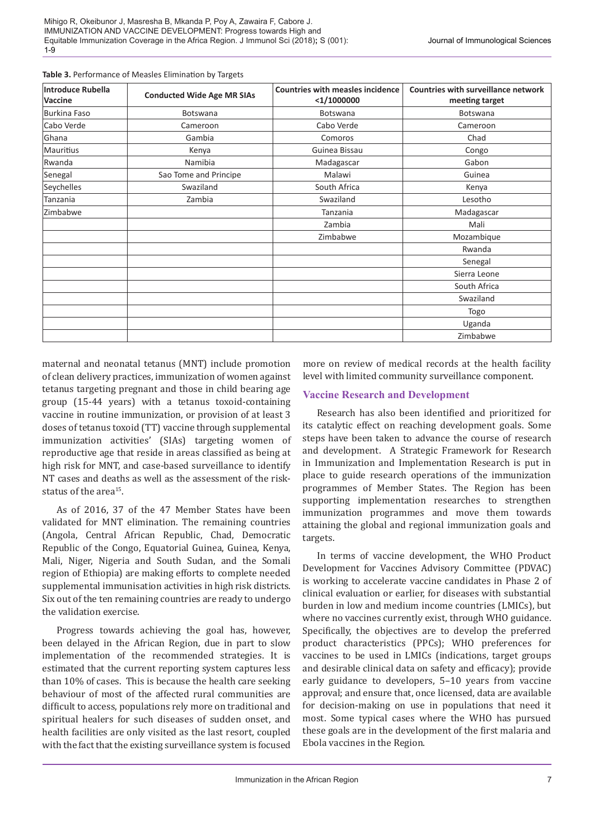| <b>Introduce Rubella</b><br>Vaccine | <b>Conducted Wide Age MR SIAs</b> | <b>Countries with measles incidence</b><br>$<$ 1/1000000 | <b>Countries with surveillance network</b><br>meeting target |  |
|-------------------------------------|-----------------------------------|----------------------------------------------------------|--------------------------------------------------------------|--|
| Burkina Faso                        | Botswana                          | Botswana                                                 | Botswana                                                     |  |
| Cabo Verde                          | Cameroon                          | Cabo Verde                                               | Cameroon                                                     |  |
| Ghana                               | Gambia                            | Comoros                                                  | Chad                                                         |  |
| Mauritius                           | Kenya                             | Guinea Bissau                                            | Congo                                                        |  |
| Rwanda                              | Namibia                           | Madagascar                                               | Gabon                                                        |  |
| Senegal                             | Sao Tome and Principe             | Malawi                                                   | Guinea                                                       |  |
| Seychelles                          | Swaziland                         | South Africa                                             | Kenya                                                        |  |
| Tanzania                            | Zambia                            | Swaziland                                                | Lesotho                                                      |  |
| Zimbabwe                            |                                   | Tanzania                                                 | Madagascar                                                   |  |
|                                     |                                   | Zambia                                                   | Mali                                                         |  |
|                                     |                                   | Zimbabwe                                                 | Mozambique                                                   |  |
|                                     |                                   |                                                          | Rwanda                                                       |  |
|                                     |                                   |                                                          | Senegal                                                      |  |
|                                     |                                   |                                                          | Sierra Leone                                                 |  |
|                                     |                                   |                                                          | South Africa                                                 |  |
|                                     |                                   |                                                          | Swaziland                                                    |  |
|                                     |                                   |                                                          | Togo                                                         |  |
|                                     |                                   |                                                          | Uganda                                                       |  |
|                                     |                                   |                                                          | Zimbabwe                                                     |  |

#### **Table 3.** Performance of Measles Elimination by Targets

maternal and neonatal tetanus (MNT) include promotion of clean delivery practices, immunization of women against tetanus targeting pregnant and those in child bearing age group (15-44 years) with a tetanus toxoid-containing vaccine in routine immunization, or provision of at least 3 doses of tetanus toxoid (TT) vaccine through supplemental immunization activities' (SIAs) targeting women of reproductive age that reside in areas classified as being at high risk for MNT, and case-based surveillance to identify NT cases and deaths as well as the assessment of the riskstatus of the area<sup>15</sup>

As of 2016, 37 of the 47 Member States have been validated for MNT elimination. The remaining countries (Angola, Central African Republic, Chad, Democratic Republic of the Congo, Equatorial Guinea, Guinea, Kenya, Mali, Niger, Nigeria and South Sudan, and the Somali region of Ethiopia) are making efforts to complete needed supplemental immunisation activities in high risk districts. Six out of the ten remaining countries are ready to undergo the validation exercise.

Progress towards achieving the goal has, however, been delayed in the African Region, due in part to slow implementation of the recommended strategies. It is estimated that the current reporting system captures less than 10% of cases. This is because the health care seeking behaviour of most of the affected rural communities are difficult to access, populations rely more on traditional and spiritual healers for such diseases of sudden onset, and health facilities are only visited as the last resort, coupled with the fact that the existing surveillance system is focused

more on review of medical records at the health facility level with limited community surveillance component.

#### **Vaccine Research and Development**

Research has also been identified and prioritized for its catalytic effect on reaching development goals. Some steps have been taken to advance the course of research and development. A Strategic Framework for Research in Immunization and Implementation Research is put in place to guide research operations of the immunization programmes of Member States. The Region has been supporting implementation researches to strengthen immunization programmes and move them towards attaining the global and regional immunization goals and targets.

In terms of vaccine development, the WHO Product Development for Vaccines Advisory Committee (PDVAC) is working to accelerate vaccine candidates in Phase 2 of clinical evaluation or earlier, for diseases with substantial burden in low and medium income countries (LMICs), but where no vaccines currently exist, through WHO guidance. Specifically, the objectives are to develop the preferred product characteristics (PPCs); WHO preferences for vaccines to be used in LMICs (indications, target groups and desirable clinical data on safety and efficacy); provide early guidance to developers, 5–10 years from vaccine approval; and ensure that, once licensed, data are available for decision-making on use in populations that need it most. Some typical cases where the WHO has pursued these goals are in the development of the first malaria and Ebola vaccines in the Region.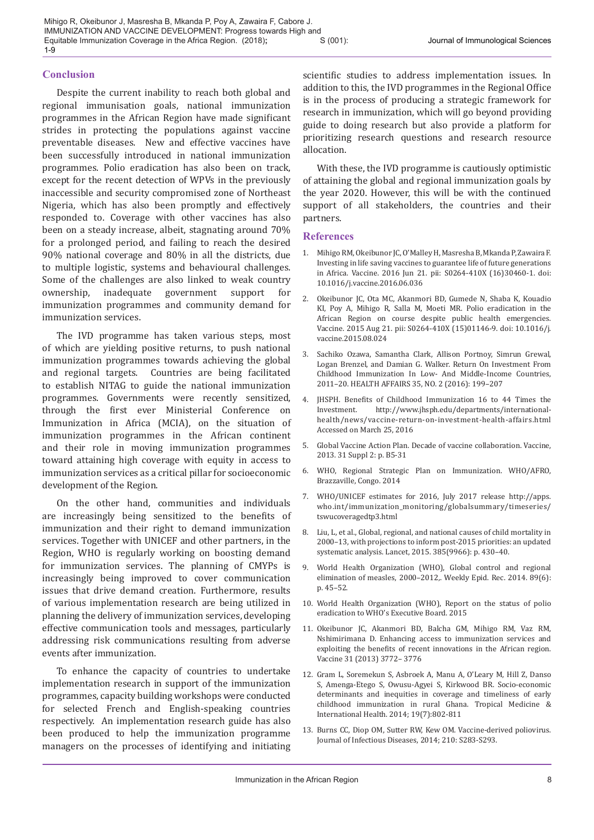### **Conclusion**

Despite the current inability to reach both global and regional immunisation goals, national immunization programmes in the African Region have made significant strides in protecting the populations against vaccine preventable diseases. New and effective vaccines have been successfully introduced in national immunization programmes. Polio eradication has also been on track, except for the recent detection of WPVs in the previously inaccessible and security compromised zone of Northeast Nigeria, which has also been promptly and effectively responded to. Coverage with other vaccines has also been on a steady increase, albeit, stagnating around 70% for a prolonged period, and failing to reach the desired 90% national coverage and 80% in all the districts, due to multiple logistic, systems and behavioural challenges. Some of the challenges are also linked to weak country ownership, inadequate government support for immunization programmes and community demand for immunization services.

The IVD programme has taken various steps, most of which are yielding positive returns, to push national immunization programmes towards achieving the global and regional targets. Countries are being facilitated to establish NITAG to guide the national immunization programmes. Governments were recently sensitized, through the first ever Ministerial Conference on Immunization in Africa (MCIA), on the situation of immunization programmes in the African continent and their role in moving immunization programmes toward attaining high coverage with equity in access to immunization services as a critical pillar for socioeconomic development of the Region.

On the other hand, communities and individuals are increasingly being sensitized to the benefits of immunization and their right to demand immunization services. Together with UNICEF and other partners, in the Region, WHO is regularly working on boosting demand for immunization services. The planning of CMYPs is increasingly being improved to cover communication issues that drive demand creation. Furthermore, results of various implementation research are being utilized in planning the delivery of immunization services, developing effective communication tools and messages, particularly addressing risk communications resulting from adverse events after immunization.

To enhance the capacity of countries to undertake implementation research in support of the immunization programmes, capacity building workshops were conducted for selected French and English-speaking countries respectively. An implementation research guide has also been produced to help the immunization programme managers on the processes of identifying and initiating scientific studies to address implementation issues. In addition to this, the IVD programmes in the Regional Office is in the process of producing a strategic framework for research in immunization, which will go beyond providing guide to doing research but also provide a platform for prioritizing research questions and research resource allocation.

With these, the IVD programme is cautiously optimistic of attaining the global and regional immunization goals by the year 2020. However, this will be with the continued support of all stakeholders, the countries and their partners.

### **References**

- 1. Mihigo RM, Okeibunor JC, O'Malley H, Masresha B, Mkanda P, Zawaira F. Investing in life saving vaccines to guarantee life of future generations in Africa. Vaccine. 2016 Jun 21. pii: S0264-410X (16)30460-1. doi: 10.1016/j.vaccine.2016.06.036
- 2. Okeibunor JC, Ota MC, Akanmori BD, Gumede N, Shaba K, Kouadio KI, Poy A, Mihigo R, Salla M, Moeti MR. Polio eradication in the African Region on course despite public health emergencies. Vaccine. 2015 Aug 21. pii: S0264-410X (15)01146-9. doi: 10.1016/j. vaccine.2015.08.024
- 3. Sachiko Ozawa, Samantha Clark, Allison Portnoy, Simrun Grewal, Logan Brenzel, and Damian G. Walker. Return On Investment From Childhood Immunization In Low- And Middle-Income Countries, 2011–20. HEALTH AFFAIRS 35, NO. 2 (2016): 199–207
- 4. JHSPH. Benefits of Childhood Immunization 16 to 44 Times the Investment. http://www.ihsph.edu/departments/internationalhttp://www.jhsph.edu/departments/internationalhealth/news/vaccine-return-on-investment-health-affairs.html Accessed on March 25, 2016
- 5. Global Vaccine Action Plan. Decade of vaccine collaboration. Vaccine, 2013. 31 Suppl 2: p. B5-31
- 6. WHO, Regional Strategic Plan on Immunization. WHO/AFRO, Brazzaville, Congo. 2014
- 7. WHO/UNICEF estimates for 2016, July 2017 release http://apps. who.int/immunization\_monitoring/globalsummary/timeseries/ tswucoveragedtp3.html
- 8. Liu, L, et al., Global, regional, and national causes of child mortality in 2000–13, with projections to inform post-2015 priorities: an updated systematic analysis. Lancet, 2015. 385(9966): p. 430–40.
- 9. World Health Organization (WHO), Global control and regional elimination of measles, 2000–2012,. Weekly Epid. Rec. 2014. 89(6): p. 45–52.
- 10. World Health Organization (WHO), Report on the status of polio eradication to WHO's Executive Board. 2015
- 11. Okeibunor JC, Akanmori BD, Balcha GM, Mihigo RM, Vaz RM, Nshimirimana D. Enhancing access to immunization services and exploiting the benefits of recent innovations in the African region. Vaccine 31 (2013) 3772– 3776
- 12. Gram L, Soremekun S, Asbroek A, Manu A, O'Leary M, Hill Z, Danso S, Amenga-Etego S, Owusu-Agyei S, Kirkwood BR. Socio-economic determinants and inequities in coverage and timeliness of early childhood immunization in rural Ghana. Tropical Medicine & International Health. 2014; 19(7):802-811
- 13. Burns CC, Diop OM, Sutter RW, Kew OM. Vaccine-derived poliovirus. Journal of Infectious Diseases, 2014; 210: S283-S293.